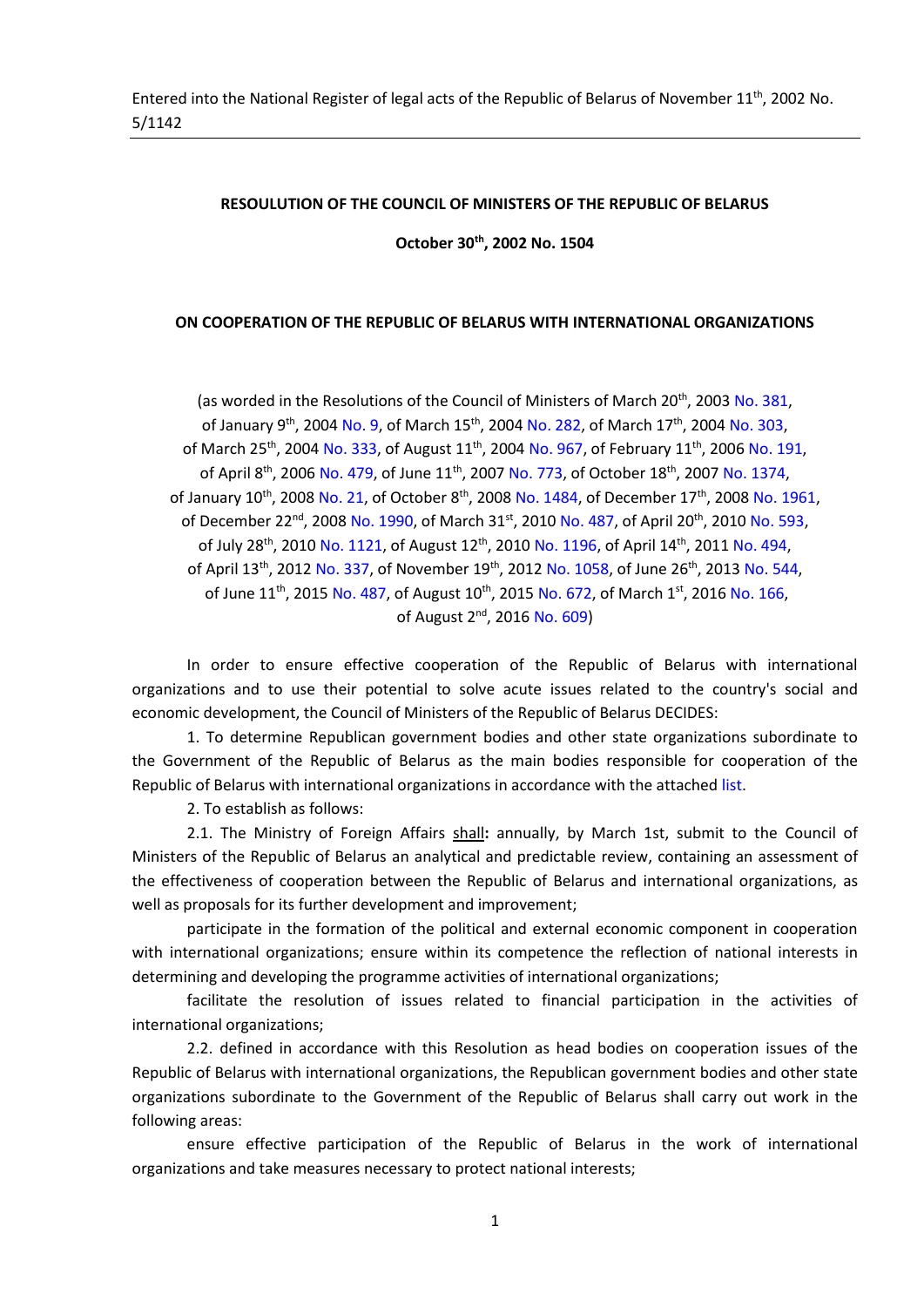#### **RESOULUTION OF THE COUNCIL OF MINISTERS OF THE REPUBLIC OF BELARUS**

**October 30th , 2002 No. 1504**

#### **ON COOPERATION OF THE REPUBLIC OF BELARUS WITH INTERNATIONAL ORGANIZATIONS**

(as worded in the Resolutions of the Council of Ministers of March 20<sup>th</sup>, 2003 No. 381, of January 9<sup>th</sup>, 2004 No. 9, of March 15<sup>th</sup>, 2004 No. 282, of March 17<sup>th</sup>, 2004 No. 303, of March 25<sup>th</sup>, 2004 No. 333, of August 11<sup>th</sup>, 2004 No. 967, of February 11<sup>th</sup>, 2006 No. 191, of April 8<sup>th</sup>, 2006 No. 479, of June 11<sup>th</sup>, 2007 No. 773, of October 18<sup>th</sup>, 2007 No. 1374, of January 10<sup>th</sup>, 2008 No. 21, of October 8<sup>th</sup>, 2008 No. 1484, of December 17<sup>th</sup>, 2008 No. 1961, of December 22<sup>nd</sup>, 2008 No. 1990, of March 31st, 2010 No. 487, of April 20<sup>th</sup>, 2010 No. 593, of July 28<sup>th</sup>, 2010 No. 1121, of August 12<sup>th</sup>, 2010 No. 1196, of April 14<sup>th</sup>, 2011 No. 494, of April 13<sup>th</sup>, 2012 No. 337, of November 19<sup>th</sup>, 2012 No. 1058, of June 26<sup>th</sup>, 2013 No. 544, of June 11<sup>th</sup>, 2015 No. 487, of August 10<sup>th</sup>, 2015 No. 672, of March 1<sup>st</sup>, 2016 No. 166, of August 2<sup>nd</sup>, 2016 No. 609)

In order to ensure effective cooperation of the Republic of Belarus with international organizations and to use their potential to solve acute issues related to the country's social and economic development, the Council of Ministers of the Republic of Belarus DECIDES:

1. To determine Republican government bodies and other state organizations subordinate to the Government of the Republic of Belarus as the main bodies responsible for cooperation of the Republic of Belarus with international organizations in accordance with the attached list.

2. To establish as follows:

2.1. The Ministry of Foreign Affairs shall**:** annually, by March 1st, submit to the Council of Ministers of the Republic of Belarus an analytical and predictable review, containing an assessment of the effectiveness of cooperation between the Republic of Belarus and international organizations, as well as proposals for its further development and improvement;

participate in the formation of the political and external economic component in cooperation with international organizations; ensure within its competence the reflection of national interests in determining and developing the programme activities of international organizations;

facilitate the resolution of issues related to financial participation in the activities of international organizations;

2.2. defined in accordance with this Resolution as head bodies on cooperation issues of the Republic of Belarus with international organizations, the Republican government bodies and other state organizations subordinate to the Government of the Republic of Belarus shall carry out work in the following areas:

ensure effective participation of the Republic of Belarus in the work of international organizations and take measures necessary to protect national interests;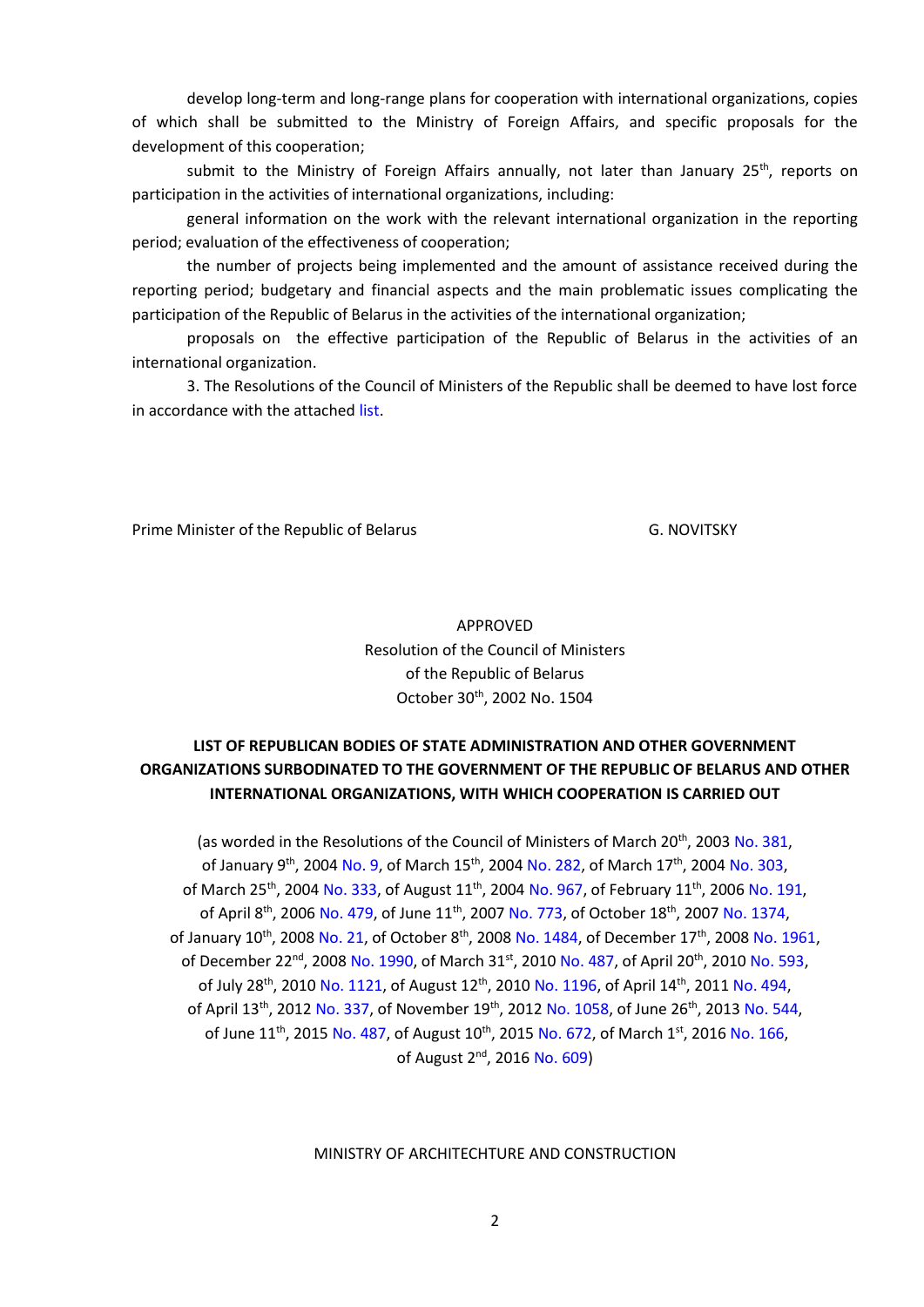develop long-term and long-range plans for cooperation with international organizations, copies of which shall be submitted to the Ministry of Foreign Affairs, and specific proposals for the development of this cooperation;

submit to the Ministry of Foreign Affairs annually, not later than January 25<sup>th</sup>, reports on participation in the activities of international organizations, including:

general information on the work with the relevant international organization in the reporting period; evaluation of the effectiveness of cooperation;

the number of projects being implemented and the amount of assistance received during the reporting period; budgetary and financial aspects and the main problematic issues complicating the participation of the Republic of Belarus in the activities of the international organization;

proposals on the effective participation of the Republic of Belarus in the activities of an international organization.

3. The Resolutions of the Council of Ministers of the Republic shall be deemed to have lost force in accordance with the attached list.

Prime Minister of the Republic of Belarus G. NOVITSKY

APPROVED Resolution of the Council of Ministers of the Republic of Belarus October 30<sup>th</sup>, 2002 No. 1504

# **LIST OF REPUBLICAN BODIES OF STATE ADMINISTRATION AND OTHER GOVERNMENT ORGANIZATIONS SURBODINATED TO THE GOVERNMENT OF THE REPUBLIC OF BELARUS AND OTHER INTERNATIONAL ORGANIZATIONS, WITH WHICH COOPERATION IS CARRIED OUT**

(as worded in the Resolutions of the Council of Ministers of March 20<sup>th</sup>, 2003 No. 381, of January 9<sup>th</sup>, 2004 No. 9, of March 15<sup>th</sup>, 2004 No. 282, of March 17<sup>th</sup>, 2004 No. 303, of March 25<sup>th</sup>, 2004 No. 333, of August 11<sup>th</sup>, 2004 No. 967, of February 11<sup>th</sup>, 2006 No. 191, of April 8<sup>th</sup>, 2006 No. 479, of June 11<sup>th</sup>, 2007 No. 773, of October 18<sup>th</sup>, 2007 No. 1374, of January 10<sup>th</sup>, 2008 No. 21, of October 8<sup>th</sup>, 2008 No. 1484, of December 17<sup>th</sup>, 2008 No. 1961, of December 22<sup>nd</sup>, 2008 No. 1990, of March 31<sup>st</sup>, 2010 No. 487, of April 20<sup>th</sup>, 2010 No. 593, of July 28<sup>th</sup>, 2010 No. 1121, of August 12<sup>th</sup>, 2010 No. 1196, of April 14<sup>th</sup>, 2011 No. 494, of April 13<sup>th</sup>, 2012 No. 337, of November 19<sup>th</sup>, 2012 No. 1058, of June 26<sup>th</sup>, 2013 No. 544, of June 11<sup>th</sup>, 2015 No. 487, of August 10<sup>th</sup>, 2015 No. 672, of March 1<sup>st</sup>, 2016 No. 166, of August 2<sup>nd</sup>, 2016 No. 609)

MINISTRY OF ARCHITECHTURE AND CONSTRUCTION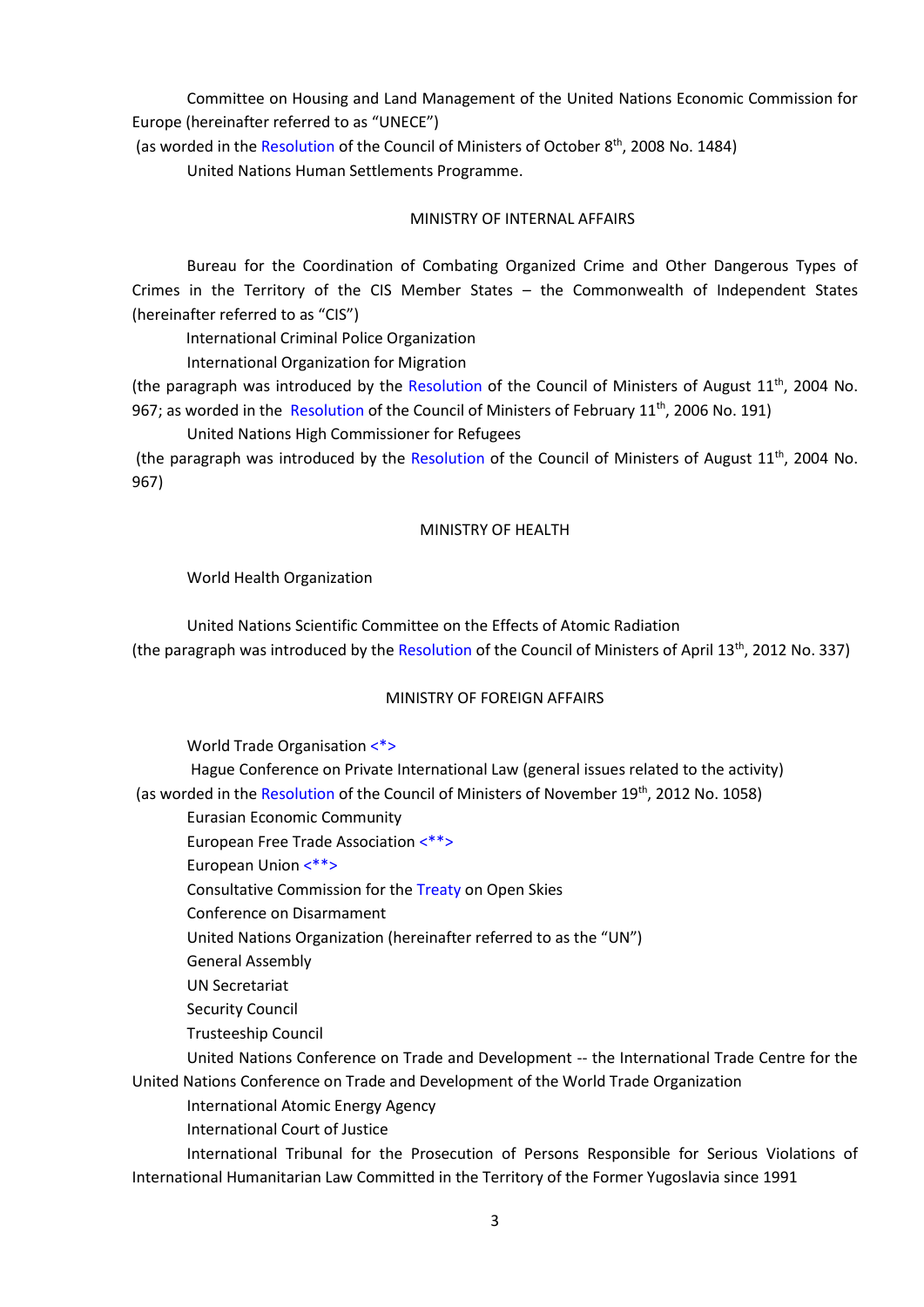Committee on Housing and Land Management of the United Nations Economic Commission for Europe (hereinafter referred to as "UNECE")

(as worded in the Resolution of the Council of Ministers of October 8<sup>th</sup>, 2008 No. 1484) United Nations Human Settlements Programme.

#### MINISTRY OF INTERNAL AFFAIRS

Bureau for the Coordination of Combating Organized Crime and Other Dangerous Types of Crimes in the Territory of the CIS Member States – the Commonwealth of Independent States (hereinafter referred to as "CIS")

International Criminal Police Organization

International Organization for Migration

(the paragraph was introduced by the Resolution of the Council of Ministers of August 11<sup>th</sup>, 2004 No. 967; as worded in the Resolution of the Council of Ministers of February 11<sup>th</sup>, 2006 No. 191)

United Nations High Commissioner for Refugees

(the paragraph was introduced by the Resolution of the Council of Ministers of August 11<sup>th</sup>, 2004 No. 967)

#### MINISTRY OF HEALTH

#### World Health Organization

United Nations Scientific Committee on the Effects of Atomic Radiation (the paragraph was introduced by the Resolution of the Council of Ministers of April 13<sup>th</sup>, 2012 No. 337)

#### MINISTRY OF FOREIGN AFFAIRS

World Trade Organisation <\*>

Hague Conference on Private International Law (general issues related to the activity) (as worded in the Resolution of the Council of Ministers of November 19<sup>th</sup>, 2012 No. 1058)

Eurasian Economic Community

European Free Trade Association <\*\*>

European Union <\*\*>

Consultative Commission for the Treaty on Open Skies

Conference on Disarmament

United Nations Organization (hereinafter referred to as the "UN")

General Assembly

UN Secretariat

Security Council

Trusteeship Council

United Nations Conference on Trade and Development -- the International Trade Centre for the United Nations Conference on Trade and Development of the World Trade Organization

International Atomic Energy Agency

International Court of Justice

International Tribunal for the Prosecution of Persons Responsible for Serious Violations of International Humanitarian Law Committed in the Territory of the Former Yugoslavia since 1991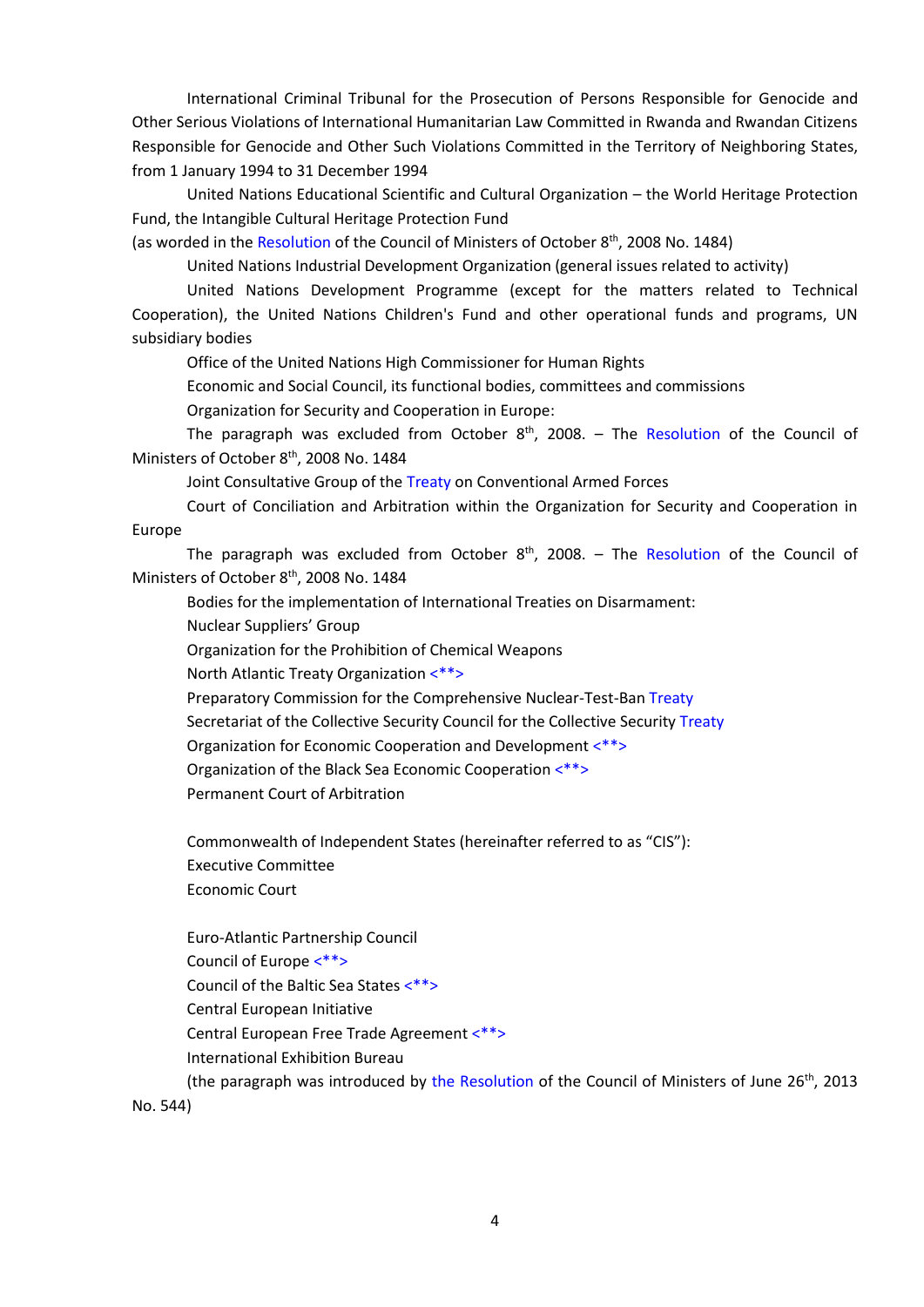International Criminal Tribunal for the Prosecution of Persons Responsible for Genocide and Other Serious Violations of International Humanitarian Law Committed in Rwanda and Rwandan Citizens Responsible for Genocide and Other Such Violations Committed in the Territory of Neighboring States, from 1 January 1994 to 31 December 1994

United Nations Educational Scientific and Cultural Organization – the World Heritage Protection Fund, the Intangible Cultural Heritage Protection Fund

(as worded in the Resolution of the Council of Ministers of October 8<sup>th</sup>, 2008 No. 1484)

United Nations Industrial Development Organization (general issues related to activity)

United Nations Development Programme (except for the matters related to Technical Cooperation), the United Nations Children's Fund and other operational funds and programs, UN subsidiary bodies

Office of the United Nations High Commissioner for Human Rights

Economic and Social Council, its functional bodies, committees and commissions

Organization for Security and Cooperation in Europe:

The paragraph was excluded from October 8<sup>th</sup>, 2008. - The Resolution of the Council of Ministers of October 8<sup>th</sup>, 2008 No. 1484

Joint Consultative Group of the Treaty on Conventional Armed Forces

Court of Conciliation and Arbitration within the Organization for Security and Cooperation in Europe

The paragraph was excluded from October 8<sup>th</sup>, 2008. – The Resolution of the Council of Ministers of October 8<sup>th</sup>, 2008 No. 1484

Bodies for the implementation of International Treaties on Disarmament:

Nuclear Suppliers' Group

Organization for the Prohibition of Chemical Weapons

North Atlantic Treaty Organization <\*\*>

Preparatory Commission for the Comprehensive Nuclear-Test-Ban Treaty

Secretariat of the Collective Security Council for the Collective Security Treaty

Organization for Economic Cooperation and Development <\*\*>

Organization of the Black Sea Economic Cooperation <\*\*>

Permanent Court of Arbitration

Commonwealth of Independent States (hereinafter referred to as "CIS"): Executive Committee Economic Court

Euro-Atlantic Partnership Council Council of Europe <\*\*> Council of the Baltic Sea States <\*\*> Central European Initiative Central European Free Trade Agreement <\*\*> International Exhibition Bureau

(the paragraph was introduced by the Resolution of the Council of Ministers of June 26<sup>th</sup>, 2013 No. 544)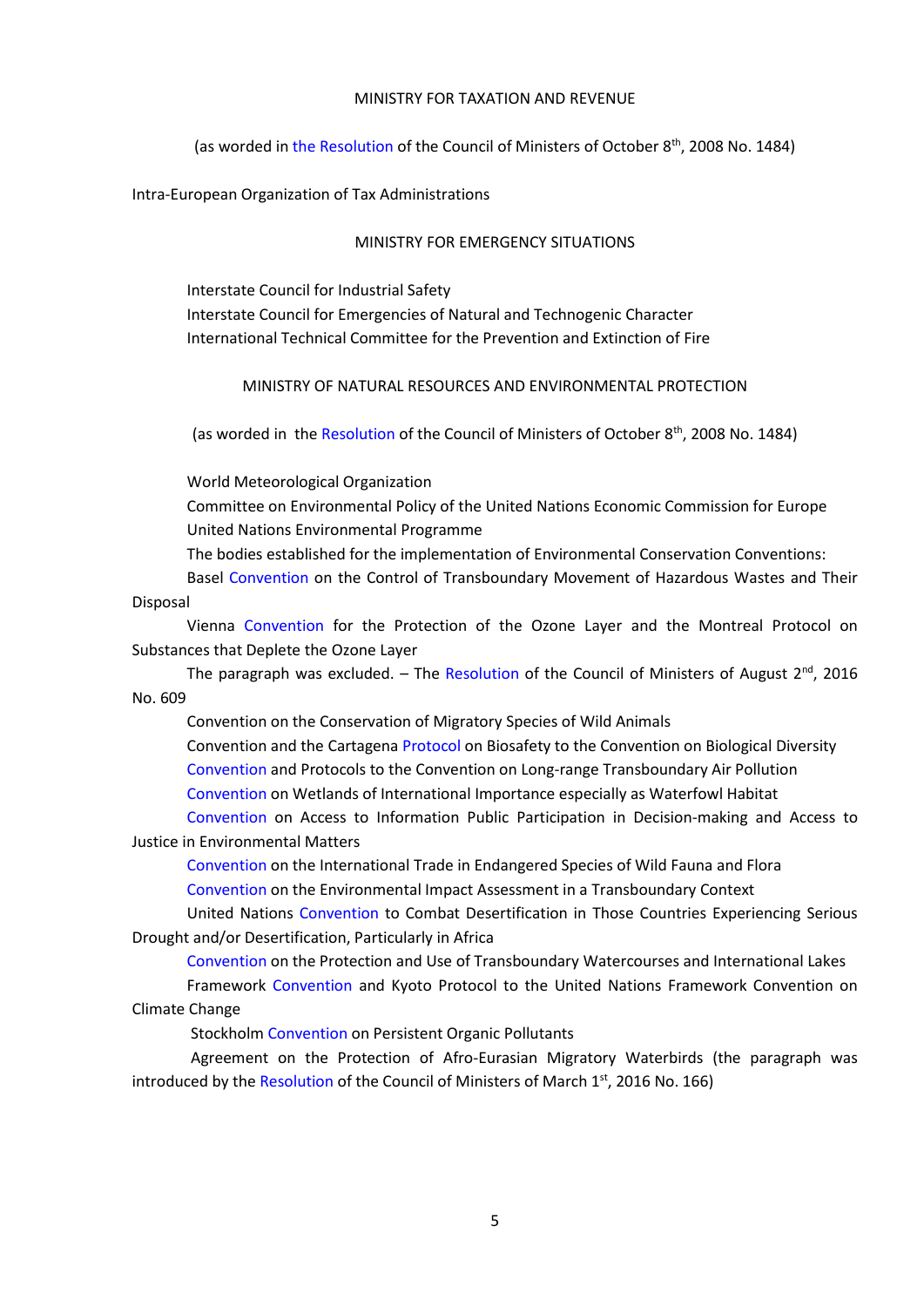#### MINISTRY FOR TAXATION AND REVENUE

(as worded in the Resolution of the Council of Ministers of October 8<sup>th</sup>, 2008 No. 1484)

Intra-European Organization of Tax Administrations

#### MINISTRY FOR EMERGENCY SITUATIONS

Interstate Council for Industrial Safety Interstate Council for Emergencies of Natural and Technogenic Character International Technical Committee for the Prevention and Extinction of Fire

MINISTRY OF NATURAL RESOURCES AND ENVIRONMENTAL PROTECTION

(as worded in the Resolution of the Council of Ministers of October 8<sup>th</sup>, 2008 No. 1484)

World Meteorological Organization

Committee on Environmental Policy of the United Nations Economic Commission for Europe United Nations Environmental Programme

The bodies established for the implementation of Environmental Conservation Conventions:

Basel Convention on the Control of Transboundary Movement of Hazardous Wastes and Their

Disposal

Vienna Convention for the Protection of the Ozone Layer and the Montreal Protocol on Substances that Deplete the Ozone Layer

The paragraph was excluded. – The Resolution of the Council of Ministers of August 2<sup>nd</sup>, 2016 No. 609

Convention on the Conservation of Migratory Species of Wild Animals

Convention and the Cartagena Protocol on Biosafety to the Convention on Biological Diversity Convention and Protocols to the Convention on Long-range Transboundary Air Pollution Convention on Wetlands of International Importance especially as Waterfowl Habitat

Convention on Access to Information Public Participation in Decision-making and Access to Justice in Environmental Matters

Convention on the International Trade in Endangered Species of Wild Fauna and Flora Convention on the Environmental Impact Assessment in a Transboundary Context

United Nations Convention to Combat Desertification in Those Countries Experiencing Serious Drought and/or Desertification, Particularly in Africa

Convention on the Protection and Use of Transboundary Watercourses and International Lakes Framework Convention and Kyoto Protocol to the United Nations Framework Convention on Climate Change

Stockholm Convention on Persistent Organic Pollutants

Agreement on the Protection of Afro-Eurasian Migratory Waterbirds (the paragraph was introduced by the Resolution of the Council of Ministers of March 1<sup>st</sup>, 2016 No. 166)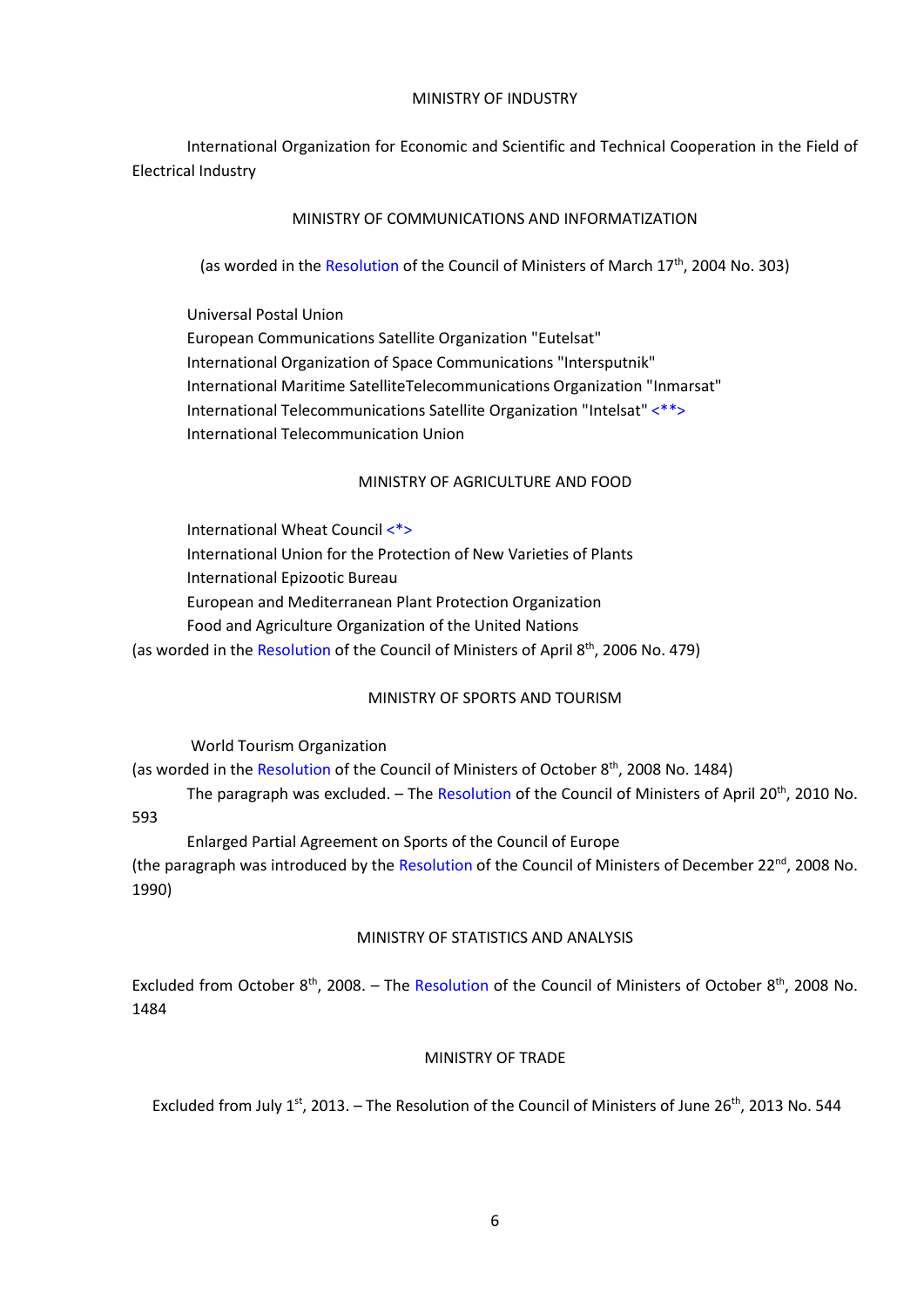#### MINISTRY OF INDUSTRY

International Organization for Economic and Scientific and Technical Cooperation in the Field of Electrical Industry

## MINISTRY OF COMMUNICATIONS AND INFORMATIZATION

(as worded in the Resolution of the Council of Ministers of March 17<sup>th</sup>, 2004 No. 303)

Universal Postal Union European Communications Satellite Organization "Eutelsat" International Organization of Space Communications "Intersputnik" International Maritime SatelliteTelecommunications Organization "Inmarsat" International Telecommunications Satellite Organization "Intelsat" <\*\*> International Telecommunication Union

# MINISTRY OF AGRICULTURE AND FOOD

International Wheat Council <\*> International Union for the Protection of New Varieties of Plants International Epizootic Bureau European and Mediterranean Plant Protection Organization Food and Agriculture Organization of the United Nations (as worded in the Resolution of the Council of Ministers of April 8<sup>th</sup>, 2006 No. 479)

# MINISTRY OF SPORTS AND TOURISM

World Tourism Organization

(as worded in the Resolution of the Council of Ministers of October 8<sup>th</sup>, 2008 No. 1484)

The paragraph was excluded. – The Resolution of the Council of Ministers of April 20<sup>th</sup>, 2010 No. 593

Enlarged Partial Agreement on Sports of the Council of Europe (the paragraph was introduced by the Resolution of the Council of Ministers of December 22<sup>nd</sup>, 2008 No. 1990)

# MINISTRY OF STATISTICS AND ANALYSIS

Excluded from October 8<sup>th</sup>, 2008. - The Resolution of the Council of Ministers of October 8<sup>th</sup>, 2008 No. 1484

# MINISTRY OF TRADE

Excluded from July 1<sup>st</sup>, 2013. - The Resolution of the Council of Ministers of June 26<sup>th</sup>, 2013 No. 544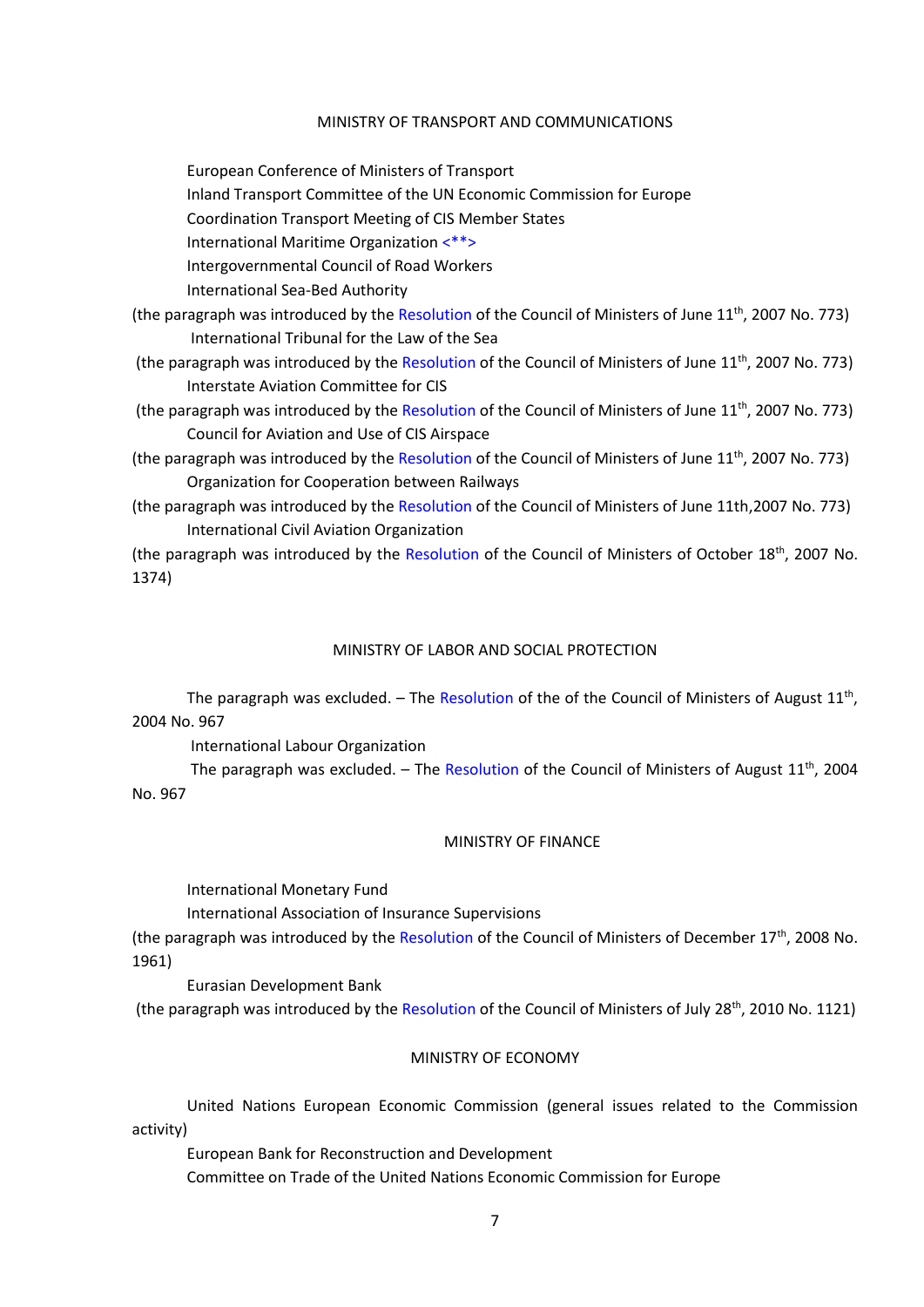#### MINISTRY OF TRANSPORT AND COMMUNICATIONS

European Conference of Ministers of Transport

Inland Transport Committee of the UN Economic Commission for Europe

Coordination Transport Meeting of CIS Member States

International Maritime Organization <\*\*>

Intergovernmental Council of Road Workers

International Sea-Bed Authority

(the paragraph was introduced by the Resolution of the Council of Ministers of June 11<sup>th</sup>, 2007 No. 773) International Tribunal for the Law of the Sea

- (the paragraph was introduced by the Resolution of the Council of Ministers of June 11<sup>th</sup>, 2007 No. 773) Interstate Aviation Committee for CIS
- (the paragraph was introduced by the Resolution of the Council of Ministers of June 11<sup>th</sup>, 2007 No. 773) Council for Aviation and Use of CIS Airspace

(the paragraph was introduced by the Resolution of the Council of Ministers of June 11<sup>th</sup>, 2007 No. 773) Organization for Cooperation between Railways

(the paragraph was introduced by the Resolution of the Council of Ministers of June 11th,2007 No. 773) International Civil Aviation Organization

(the paragraph was introduced by the Resolution of the Council of Ministers of October 18<sup>th</sup>, 2007 No. 1374)

#### MINISTRY OF LABOR AND SOCIAL PROTECTION

The paragraph was excluded. - The Resolution of the of the Council of Ministers of August 11<sup>th</sup>, 2004 No. 967

International Labour Organization

The paragraph was excluded.  $-$  The Resolution of the Council of Ministers of August 11<sup>th</sup>, 2004 No. 967

#### MINISTRY OF FINANCE

International Monetary Fund

International Association of Insurance Supervisions

(the paragraph was introduced by the Resolution of the Council of Ministers of December 17<sup>th</sup>, 2008 No. 1961)

Eurasian Development Bank

(the paragraph was introduced by the Resolution of the Council of Ministers of July 28<sup>th</sup>, 2010 No. 1121)

#### MINISTRY OF ECONOMY

United Nations European Economic Commission (general issues related to the Commission activity)

European Bank for Reconstruction and Development Committee on Trade of the United Nations Economic Commission for Europe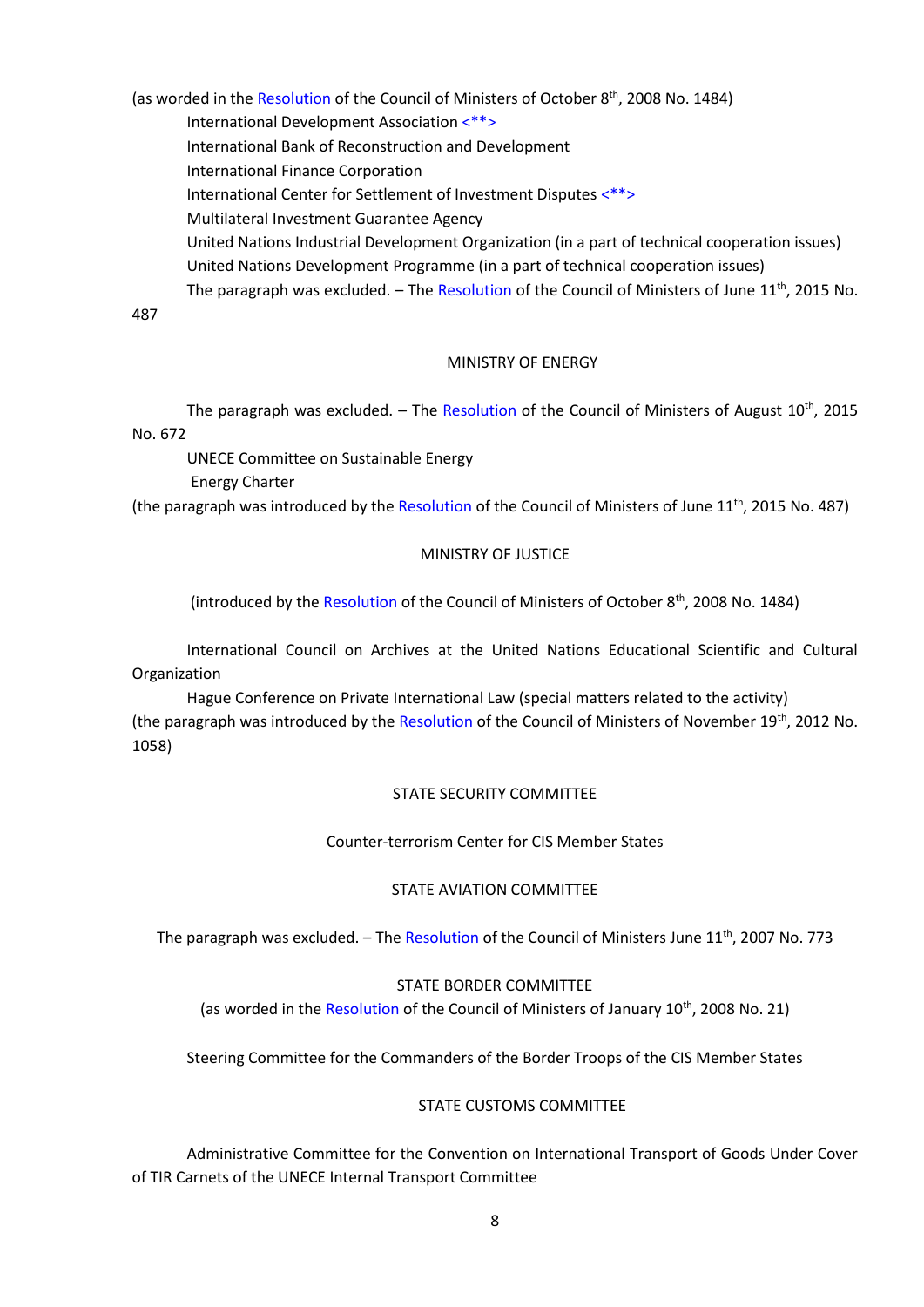(as worded in the Resolution of the Council of Ministers of October 8<sup>th</sup>, 2008 No. 1484)

International Development Association <\*\*>

International Bank of Reconstruction and Development

International Finance Corporation

International Center for Settlement of Investment Disputes <\*\*>

Multilateral Investment Guarantee Agency

United Nations Industrial Development Organization (in a part of technical cooperation issues) United Nations Development Programme (in a part of technical cooperation issues)

The paragraph was excluded. – The Resolution of the Council of Ministers of June 11<sup>th</sup>, 2015 No.

487

# MINISTRY OF ENERGY

The paragraph was excluded. - The Resolution of the Council of Ministers of August 10<sup>th</sup>, 2015 No. 672

UNECE Committee on Sustainable Energy

Energy Charter

(the paragraph was introduced by the Resolution of the Council of Ministers of June 11<sup>th</sup>, 2015 No. 487)

# MINISTRY OF JUSTICE

(introduced by the Resolution of the Council of Ministers of October 8<sup>th</sup>, 2008 No. 1484)

International Council on Archives at the United Nations Educational Scientific and Cultural Organization

Hague Conference on Private International Law (special matters related to the activity) (the paragraph was introduced by the Resolution of the Council of Ministers of November 19<sup>th</sup>, 2012 No. 1058)

## STATE SECURITY COMMITTEE

## Сounter-terrorism Сenter for CIS Member States

# STATE AVIATION COMMITTEE

The paragraph was excluded. – The Resolution of the Council of Ministers June 11<sup>th</sup>, 2007 No. 773

## STATE BORDER COMMITTEE

(as worded in the Resolution of the Council of Ministers of January 10<sup>th</sup>, 2008 No. 21)

Steering Committee for the Commanders of the Border Troops of the CIS Member States

## STATE CUSTOMS COMMITTEE

Administrative Committee for the Convention on International Transport of Goods Under Cover of TIR Carnets of the UNECE Internal Transport Committee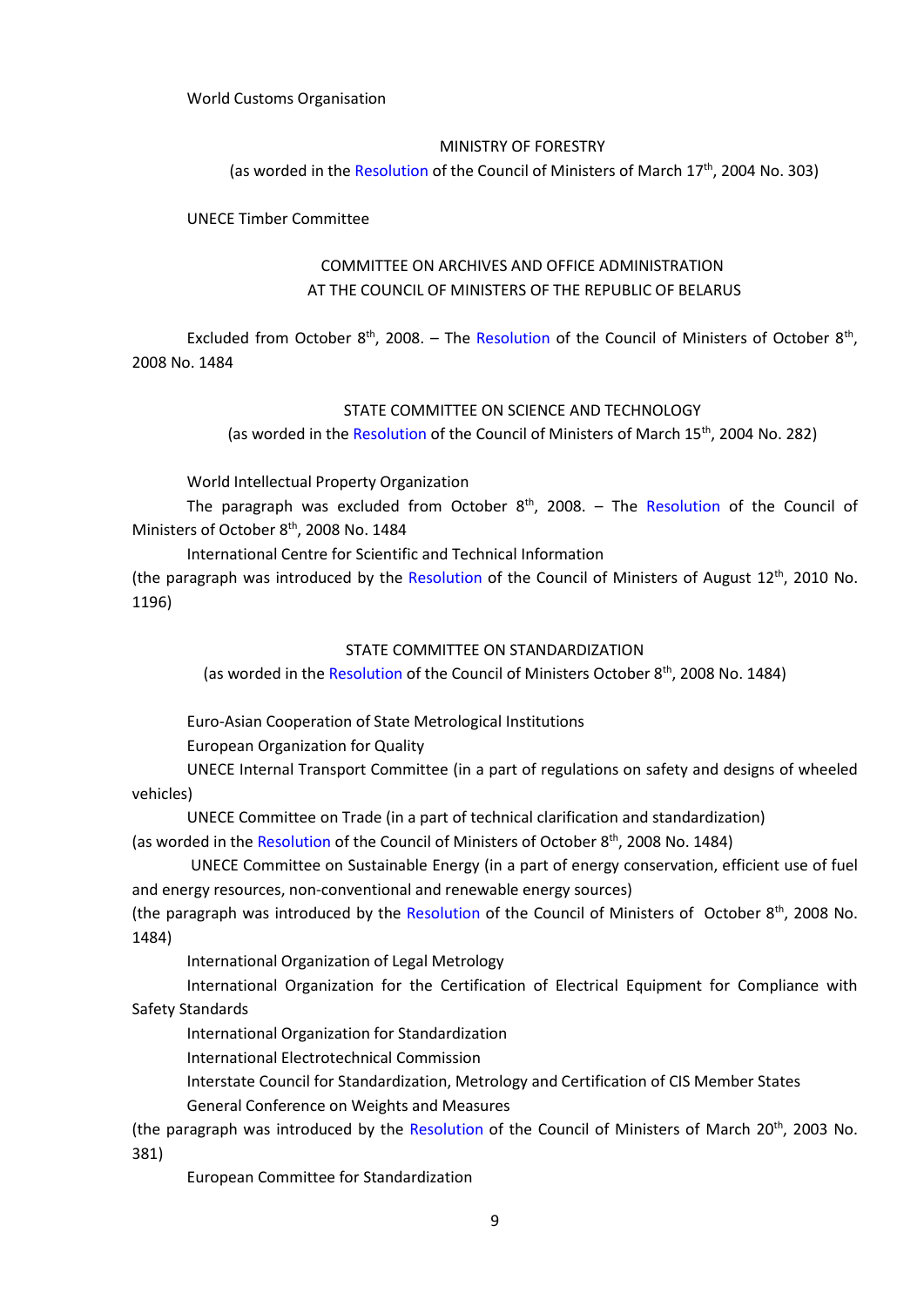## World Customs Organisation

#### MINISTRY OF FORESTRY

(as worded in the Resolution of the Council of Ministers of March 17<sup>th</sup>, 2004 No. 303)

UNECE Timber Committee

# COMMITTEE ON ARCHIVES AND OFFICE ADMINISTRATION AT THE COUNCIL OF MINISTERS OF THE REPUBLIC OF BELARUS

Excluded from October  $8<sup>th</sup>$ , 2008. – The Resolution of the Council of Ministers of October  $8<sup>th</sup>$ , 2008 No. 1484

#### STATE COMMITTEE ON SCIENCE AND TECHNOLOGY

(as worded in the Resolution of the Council of Ministers of March 15<sup>th</sup>, 2004 No. 282)

World Intellectual Property Organization

The paragraph was excluded from October  $8<sup>th</sup>$ , 2008. – The Resolution of the Council of Ministers of October 8<sup>th</sup>, 2008 No. 1484

International Centre for Scientific and Technical Information

(the paragraph was introduced by the Resolution of the Council of Ministers of August 12<sup>th</sup>, 2010 No. 1196)

#### STATE COMMITTEE ON STANDARDIZATION

(as worded in the Resolution of the Council of Ministers October 8<sup>th</sup>, 2008 No. 1484)

Euro-Asian Cooperation of State Metrological Institutions

European Organization for Quality

UNECE Internal Transport Committee (in a part of regulations on safety and designs of wheeled vehicles)

UNECE Committee on Trade (in a part of technical clarification and standardization)

(as worded in the Resolution of the Council of Ministers of October 8<sup>th</sup>, 2008 No. 1484)

UNECE Committee on Sustainable Energy (in a part of energy conservation, efficient use of fuel and energy resources, non-conventional and renewable energy sources)

(the paragraph was introduced by the Resolution of the Council of Ministers of October 8<sup>th</sup>, 2008 No. 1484)

International Organization of Legal Metrology

International Organization for the Certification of Electrical Equipment for Compliance with Safety Standards

International Organization for Standardization

International Electrotechnical Commission

Interstate Council for Standardization, Metrology and Certification of CIS Member States

General Conference on Weights and Measures

(the paragraph was introduced by the Resolution of the Council of Ministers of March 20<sup>th</sup>, 2003 No. 381)

European Committee for Standardization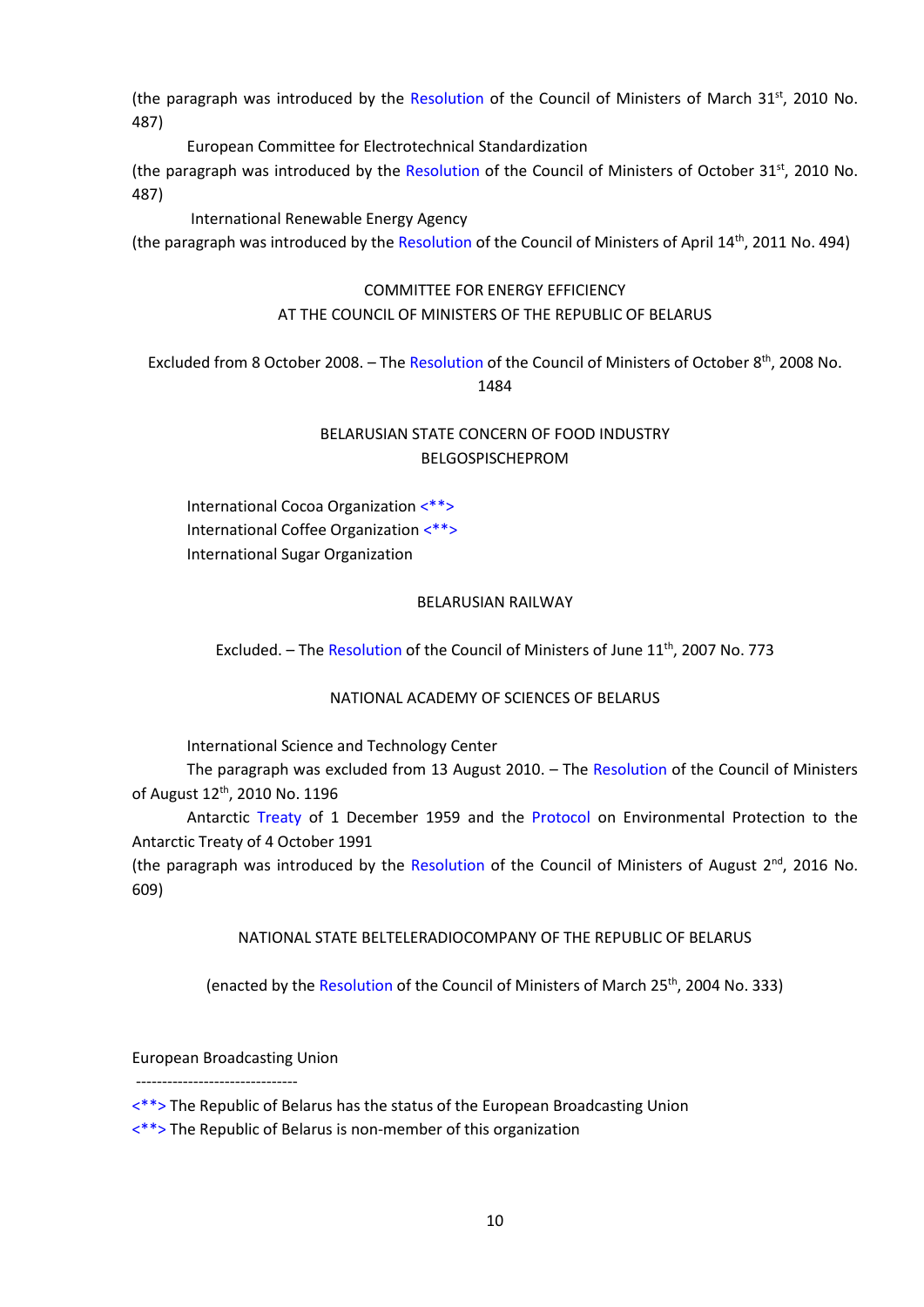(the paragraph was introduced by the Resolution of the Council of Ministers of March 31<sup>st</sup>, 2010 No. 487)

European Committee for Electrotechnical Standardization

(the paragraph was introduced by the Resolution of the Council of Ministers of October 31<sup>st</sup>, 2010 No. 487)

International Renewable Energy Agency

(the paragraph was introduced by the Resolution of the Council of Ministers of April 14<sup>th</sup>, 2011 No. 494)

## COMMITTEE FOR ENERGY EFFICIENCY

# AT THE COUNCIL OF MINISTERS OF THE REPUBLIC OF BELARUS

Excluded from 8 October 2008. - The Resolution of the Council of Ministers of October 8<sup>th</sup>, 2008 No. 1484

# BELARUSIAN STATE CONCERN OF FOOD INDUSTRY BELGOSPISCHEPROM

International Cocoa Organization <\*\*> International Coffee Organization <\*\*> International Sugar Organization

## BELARUSIAN RAILWAY

Excluded. - The Resolution of the Council of Ministers of June 11<sup>th</sup>, 2007 No. 773

## NATIONAL ACADEMY OF SCIENCES OF BELARUS

International Science and Technology Center

The paragraph was excluded from 13 August 2010. – The Resolution of the Council of Ministers of August 12<sup>th</sup>, 2010 No. 1196

Antarctic Treaty of 1 December 1959 and the Protocol on Environmental Protection to the Antarctic Treaty of 4 October 1991

(the paragraph was introduced by the Resolution of the Council of Ministers of August 2<sup>nd</sup>, 2016 No. 609)

NATIONAL STATE BELTELERADIOCOMPANY OF THE REPUBLIC OF BELARUS

(enacted by the Resolution of the Council of Ministers of March 25<sup>th</sup>, 2004 No. 333)

European Broadcasting Union

-------------------------------

<\*\*> The Republic of Belarus has the status of the European Broadcasting Union

<\*\*> The Republic of Belarus is non-member of this organization